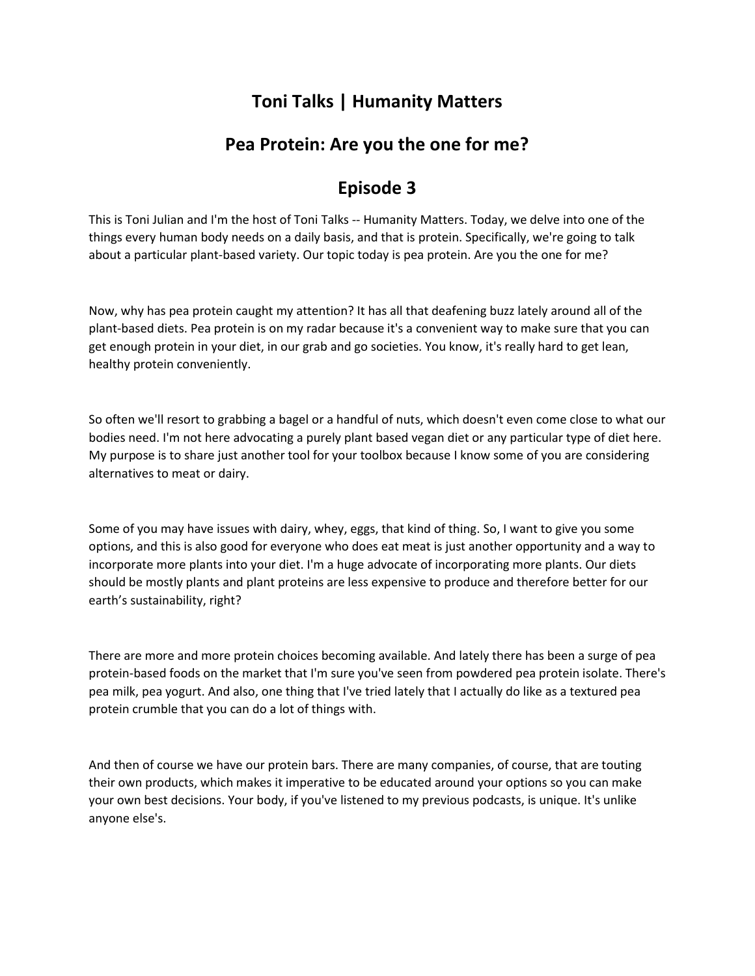## **Toni Talks | Humanity Matters**

## **Pea Protein: Are you the one for me?**

## **Episode 3**

This is Toni Julian and I'm the host of Toni Talks -- Humanity Matters. Today, we delve into one of the things every human body needs on a daily basis, and that is protein. Specifically, we're going to talk about a particular plant-based variety. Our topic today is pea protein. Are you the one for me?

Now, why has pea protein caught my attention? It has all that deafening buzz lately around all of the plant-based diets. Pea protein is on my radar because it's a convenient way to make sure that you can get enough protein in your diet, in our grab and go societies. You know, it's really hard to get lean, healthy protein conveniently.

So often we'll resort to grabbing a bagel or a handful of nuts, which doesn't even come close to what our bodies need. I'm not here advocating a purely plant based vegan diet or any particular type of diet here. My purpose is to share just another tool for your toolbox because I know some of you are considering alternatives to meat or dairy.

Some of you may have issues with dairy, whey, eggs, that kind of thing. So, I want to give you some options, and this is also good for everyone who does eat meat is just another opportunity and a way to incorporate more plants into your diet. I'm a huge advocate of incorporating more plants. Our diets should be mostly plants and plant proteins are less expensive to produce and therefore better for our earth's sustainability, right?

There are more and more protein choices becoming available. And lately there has been a surge of pea protein-based foods on the market that I'm sure you've seen from powdered pea protein isolate. There's pea milk, pea yogurt. And also, one thing that I've tried lately that I actually do like as a textured pea protein crumble that you can do a lot of things with.

And then of course we have our protein bars. There are many companies, of course, that are touting their own products, which makes it imperative to be educated around your options so you can make your own best decisions. Your body, if you've listened to my previous podcasts, is unique. It's unlike anyone else's.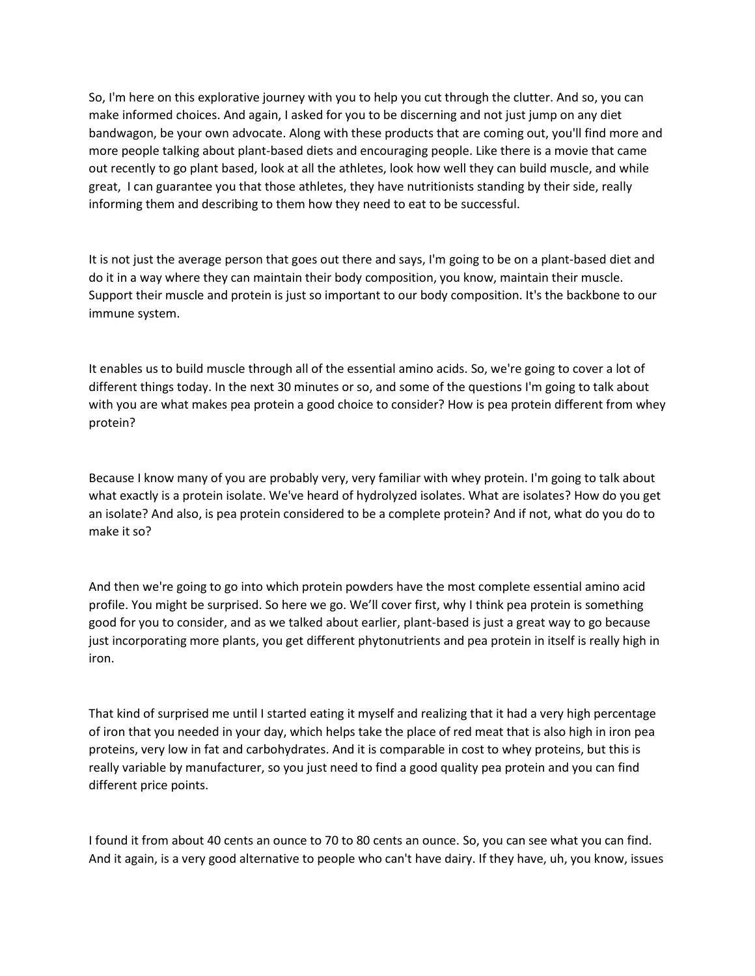So, I'm here on this explorative journey with you to help you cut through the clutter. And so, you can make informed choices. And again, I asked for you to be discerning and not just jump on any diet bandwagon, be your own advocate. Along with these products that are coming out, you'll find more and more people talking about plant-based diets and encouraging people. Like there is a movie that came out recently to go plant based, look at all the athletes, look how well they can build muscle, and while great, I can guarantee you that those athletes, they have nutritionists standing by their side, really informing them and describing to them how they need to eat to be successful.

It is not just the average person that goes out there and says, I'm going to be on a plant-based diet and do it in a way where they can maintain their body composition, you know, maintain their muscle. Support their muscle and protein is just so important to our body composition. It's the backbone to our immune system.

It enables us to build muscle through all of the essential amino acids. So, we're going to cover a lot of different things today. In the next 30 minutes or so, and some of the questions I'm going to talk about with you are what makes pea protein a good choice to consider? How is pea protein different from whey protein?

Because I know many of you are probably very, very familiar with whey protein. I'm going to talk about what exactly is a protein isolate. We've heard of hydrolyzed isolates. What are isolates? How do you get an isolate? And also, is pea protein considered to be a complete protein? And if not, what do you do to make it so?

And then we're going to go into which protein powders have the most complete essential amino acid profile. You might be surprised. So here we go. We'll cover first, why I think pea protein is something good for you to consider, and as we talked about earlier, plant-based is just a great way to go because just incorporating more plants, you get different phytonutrients and pea protein in itself is really high in iron.

That kind of surprised me until I started eating it myself and realizing that it had a very high percentage of iron that you needed in your day, which helps take the place of red meat that is also high in iron pea proteins, very low in fat and carbohydrates. And it is comparable in cost to whey proteins, but this is really variable by manufacturer, so you just need to find a good quality pea protein and you can find different price points.

I found it from about 40 cents an ounce to 70 to 80 cents an ounce. So, you can see what you can find. And it again, is a very good alternative to people who can't have dairy. If they have, uh, you know, issues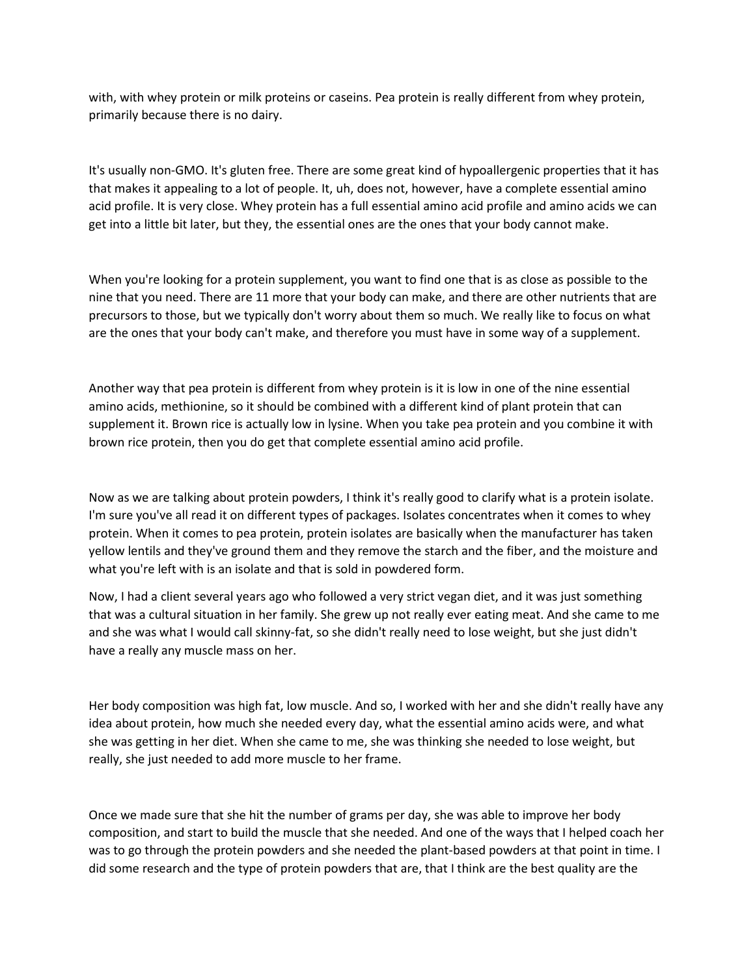with, with whey protein or milk proteins or caseins. Pea protein is really different from whey protein, primarily because there is no dairy.

It's usually non-GMO. It's gluten free. There are some great kind of hypoallergenic properties that it has that makes it appealing to a lot of people. It, uh, does not, however, have a complete essential amino acid profile. It is very close. Whey protein has a full essential amino acid profile and amino acids we can get into a little bit later, but they, the essential ones are the ones that your body cannot make.

When you're looking for a protein supplement, you want to find one that is as close as possible to the nine that you need. There are 11 more that your body can make, and there are other nutrients that are precursors to those, but we typically don't worry about them so much. We really like to focus on what are the ones that your body can't make, and therefore you must have in some way of a supplement.

Another way that pea protein is different from whey protein is it is low in one of the nine essential amino acids, methionine, so it should be combined with a different kind of plant protein that can supplement it. Brown rice is actually low in lysine. When you take pea protein and you combine it with brown rice protein, then you do get that complete essential amino acid profile.

Now as we are talking about protein powders, I think it's really good to clarify what is a protein isolate. I'm sure you've all read it on different types of packages. Isolates concentrates when it comes to whey protein. When it comes to pea protein, protein isolates are basically when the manufacturer has taken yellow lentils and they've ground them and they remove the starch and the fiber, and the moisture and what you're left with is an isolate and that is sold in powdered form.

Now, I had a client several years ago who followed a very strict vegan diet, and it was just something that was a cultural situation in her family. She grew up not really ever eating meat. And she came to me and she was what I would call skinny-fat, so she didn't really need to lose weight, but she just didn't have a really any muscle mass on her.

Her body composition was high fat, low muscle. And so, I worked with her and she didn't really have any idea about protein, how much she needed every day, what the essential amino acids were, and what she was getting in her diet. When she came to me, she was thinking she needed to lose weight, but really, she just needed to add more muscle to her frame.

Once we made sure that she hit the number of grams per day, she was able to improve her body composition, and start to build the muscle that she needed. And one of the ways that I helped coach her was to go through the protein powders and she needed the plant-based powders at that point in time. I did some research and the type of protein powders that are, that I think are the best quality are the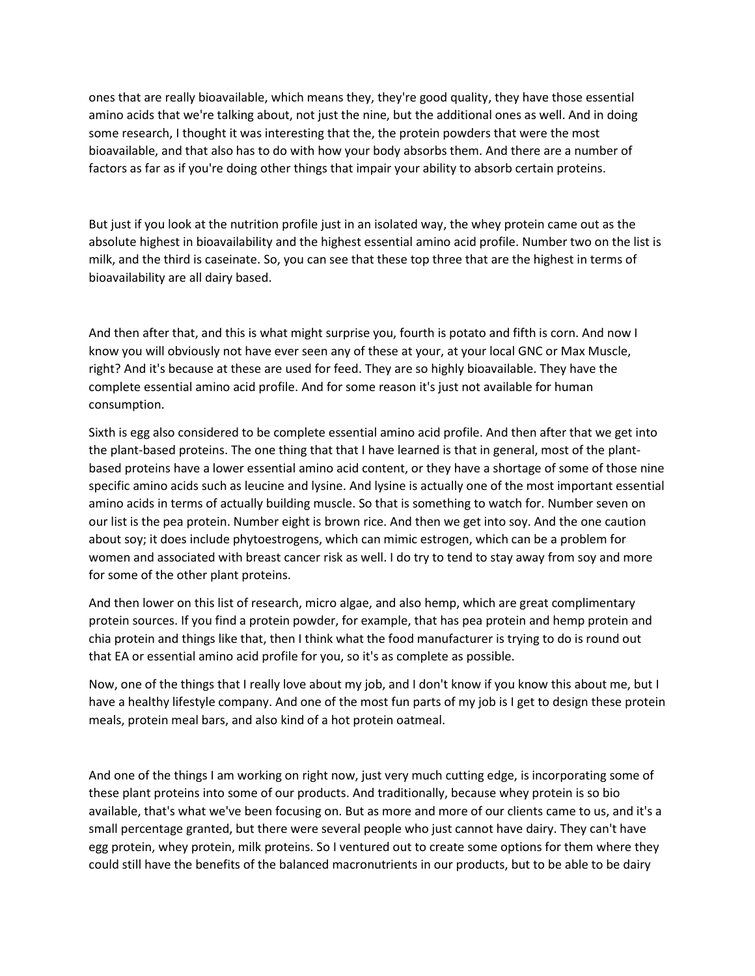ones that are really bioavailable, which means they, they're good quality, they have those essential amino acids that we're talking about, not just the nine, but the additional ones as well. And in doing some research, I thought it was interesting that the, the protein powders that were the most bioavailable, and that also has to do with how your body absorbs them. And there are a number of factors as far as if you're doing other things that impair your ability to absorb certain proteins.

But just if you look at the nutrition profile just in an isolated way, the whey protein came out as the absolute highest in bioavailability and the highest essential amino acid profile. Number two on the list is milk, and the third is caseinate. So, you can see that these top three that are the highest in terms of bioavailability are all dairy based.

And then after that, and this is what might surprise you, fourth is potato and fifth is corn. And now I know you will obviously not have ever seen any of these at your, at your local GNC or Max Muscle, right? And it's because at these are used for feed. They are so highly bioavailable. They have the complete essential amino acid profile. And for some reason it's just not available for human consumption.

Sixth is egg also considered to be complete essential amino acid profile. And then after that we get into the plant-based proteins. The one thing that that I have learned is that in general, most of the plantbased proteins have a lower essential amino acid content, or they have a shortage of some of those nine specific amino acids such as leucine and lysine. And lysine is actually one of the most important essential amino acids in terms of actually building muscle. So that is something to watch for. Number seven on our list is the pea protein. Number eight is brown rice. And then we get into soy. And the one caution about soy; it does include phytoestrogens, which can mimic estrogen, which can be a problem for women and associated with breast cancer risk as well. I do try to tend to stay away from soy and more for some of the other plant proteins.

And then lower on this list of research, micro algae, and also hemp, which are great complimentary protein sources. If you find a protein powder, for example, that has pea protein and hemp protein and chia protein and things like that, then I think what the food manufacturer is trying to do is round out that EA or essential amino acid profile for you, so it's as complete as possible.

Now, one of the things that I really love about my job, and I don't know if you know this about me, but I have a healthy lifestyle company. And one of the most fun parts of my job is I get to design these protein meals, protein meal bars, and also kind of a hot protein oatmeal.

And one of the things I am working on right now, just very much cutting edge, is incorporating some of these plant proteins into some of our products. And traditionally, because whey protein is so bio available, that's what we've been focusing on. But as more and more of our clients came to us, and it's a small percentage granted, but there were several people who just cannot have dairy. They can't have egg protein, whey protein, milk proteins. So I ventured out to create some options for them where they could still have the benefits of the balanced macronutrients in our products, but to be able to be dairy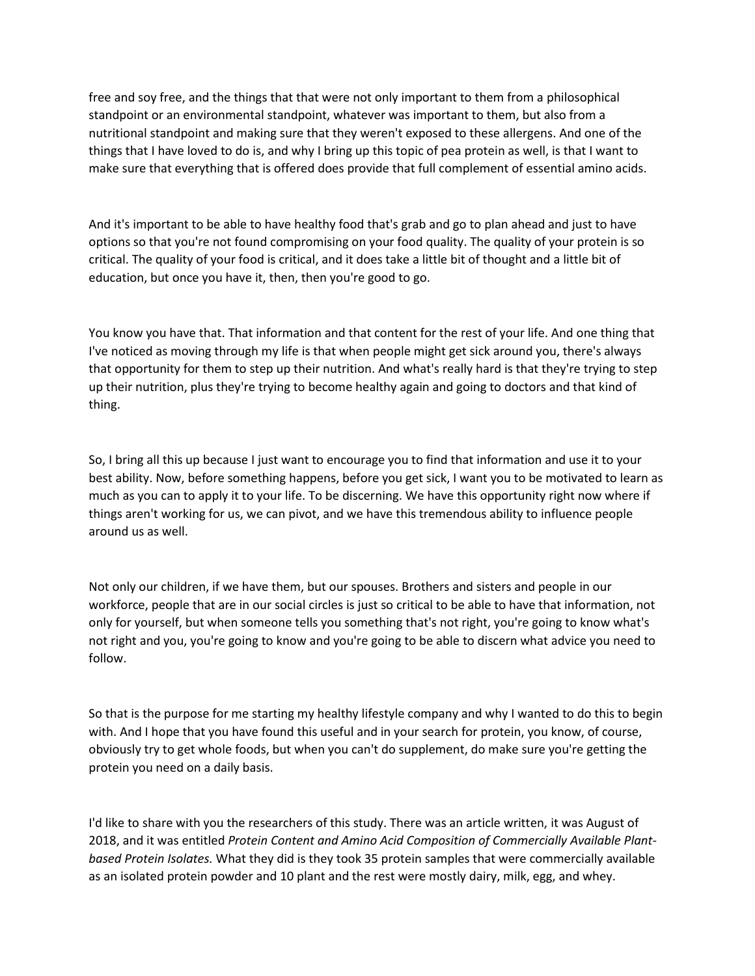free and soy free, and the things that that were not only important to them from a philosophical standpoint or an environmental standpoint, whatever was important to them, but also from a nutritional standpoint and making sure that they weren't exposed to these allergens. And one of the things that I have loved to do is, and why I bring up this topic of pea protein as well, is that I want to make sure that everything that is offered does provide that full complement of essential amino acids.

And it's important to be able to have healthy food that's grab and go to plan ahead and just to have options so that you're not found compromising on your food quality. The quality of your protein is so critical. The quality of your food is critical, and it does take a little bit of thought and a little bit of education, but once you have it, then, then you're good to go.

You know you have that. That information and that content for the rest of your life. And one thing that I've noticed as moving through my life is that when people might get sick around you, there's always that opportunity for them to step up their nutrition. And what's really hard is that they're trying to step up their nutrition, plus they're trying to become healthy again and going to doctors and that kind of thing.

So, I bring all this up because I just want to encourage you to find that information and use it to your best ability. Now, before something happens, before you get sick, I want you to be motivated to learn as much as you can to apply it to your life. To be discerning. We have this opportunity right now where if things aren't working for us, we can pivot, and we have this tremendous ability to influence people around us as well.

Not only our children, if we have them, but our spouses. Brothers and sisters and people in our workforce, people that are in our social circles is just so critical to be able to have that information, not only for yourself, but when someone tells you something that's not right, you're going to know what's not right and you, you're going to know and you're going to be able to discern what advice you need to follow.

So that is the purpose for me starting my healthy lifestyle company and why I wanted to do this to begin with. And I hope that you have found this useful and in your search for protein, you know, of course, obviously try to get whole foods, but when you can't do supplement, do make sure you're getting the protein you need on a daily basis.

I'd like to share with you the researchers of this study. There was an article written, it was August of 2018, and it was entitled *Protein Content and Amino Acid Composition of Commercially Available Plantbased Protein Isolates.* What they did is they took 35 protein samples that were commercially available as an isolated protein powder and 10 plant and the rest were mostly dairy, milk, egg, and whey.